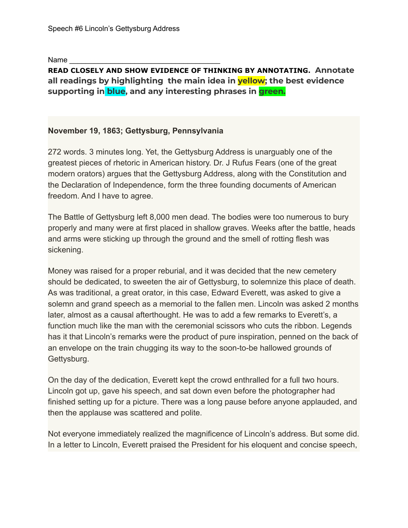Name

## **READ CLOSELY AND SHOW EVIDENCE OF THINKING BY ANNOTATING. Annotate all readings by highlighting the main idea in yellow; the best evidence supporting in blue, and any interesting phrases in green.**

## **November 19, 1863; Gettysburg, Pennsylvania**

272 words. 3 minutes long. Yet, the Gettysburg Address is unarguably one of the greatest pieces of rhetoric in American history. Dr. J Rufus Fears (one of the great modern orators) argues that the Gettysburg Address, along with the Constitution and the Declaration of Independence, form the three founding documents of American freedom. And I have to agree.

The Battle of Gettysburg left 8,000 men dead. The bodies were too numerous to bury properly and many were at first placed in shallow graves. Weeks after the battle, heads and arms were sticking up through the ground and the smell of rotting flesh was sickening.

Money was raised for a proper reburial, and it was decided that the new cemetery should be dedicated, to sweeten the air of Gettysburg, to solemnize this place of death. As was traditional, a great orator, in this case, Edward Everett, was asked to give a solemn and grand speech as a memorial to the fallen men. Lincoln was asked 2 months later, almost as a causal afterthought. He was to add a few remarks to Everett's, a function much like the man with the ceremonial scissors who cuts the ribbon. Legends has it that Lincoln's remarks were the product of pure inspiration, penned on the back of an envelope on the train chugging its way to the soon-to-be hallowed grounds of Gettysburg.

On the day of the dedication, Everett kept the crowd enthralled for a full two hours. Lincoln got up, gave his speech, and sat down even before the photographer had finished setting up for a picture. There was a long pause before anyone applauded, and then the applause was scattered and polite.

Not everyone immediately realized the magnificence of Lincoln's address. But some did. In a letter to Lincoln, Everett praised the President for his eloquent and concise speech,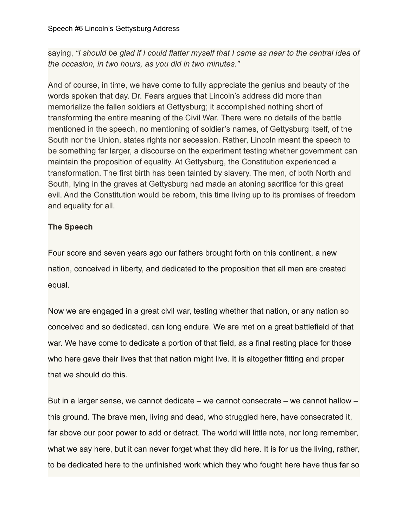saying, *"I should be glad if I could flatter myself that I came as near to the central idea of the occasion, in two hours, as you did in two minutes."*

And of course, in time, we have come to fully appreciate the genius and beauty of the words spoken that day. Dr. Fears argues that Lincoln's address did more than memorialize the fallen soldiers at Gettysburg; it accomplished nothing short of transforming the entire meaning of the Civil War. There were no details of the battle mentioned in the speech, no mentioning of soldier's names, of Gettysburg itself, of the South nor the Union, states rights nor secession. Rather, Lincoln meant the speech to be something far larger, a discourse on the experiment testing whether government can maintain the proposition of equality. At Gettysburg, the Constitution experienced a transformation. The first birth has been tainted by slavery. The men, of both North and South, lying in the graves at Gettysburg had made an atoning sacrifice for this great evil. And the Constitution would be reborn, this time living up to its promises of freedom and equality for all.

## **The Speech**

Four score and seven years ago our fathers brought forth on this continent, a new nation, conceived in liberty, and dedicated to the proposition that all men are created equal.

Now we are engaged in a great civil war, testing whether that nation, or any nation so conceived and so dedicated, can long endure. We are met on a great battlefield of that war. We have come to dedicate a portion of that field, as a final resting place for those who here gave their lives that that nation might live. It is altogether fitting and proper that we should do this.

But in a larger sense, we cannot dedicate – we cannot consecrate – we cannot hallow – this ground. The brave men, living and dead, who struggled here, have consecrated it, far above our poor power to add or detract. The world will little note, nor long remember, what we say here, but it can never forget what they did here. It is for us the living, rather, to be dedicated here to the unfinished work which they who fought here have thus far so